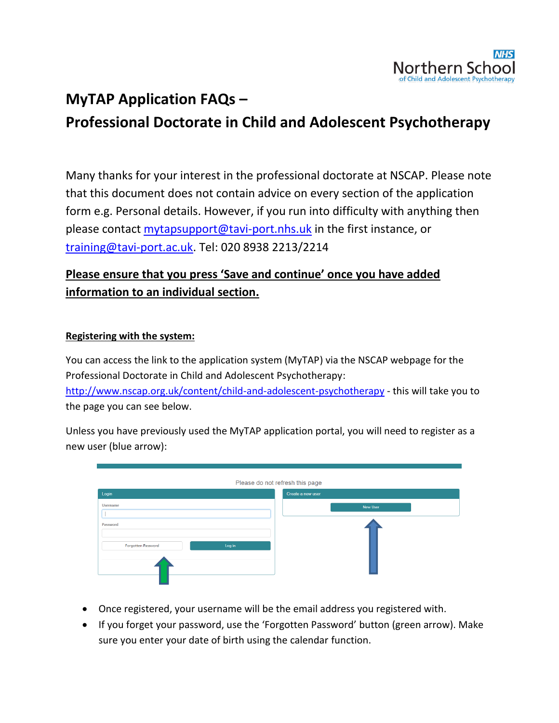

# **MyTAP Application FAQs – Professional Doctorate in Child and Adolescent Psychotherapy**

Many thanks for your interest in the professional doctorate at NSCAP. Please note that this document does not contain advice on every section of the application form e.g. Personal details. However, if you run into difficulty with anything then please contact [mytapsupport@tavi-port.nhs.uk](mailto:mytapsupport@tavi-port.nhs.uk) in the first instance, or [training@tavi-port.ac.uk.](mailto:training@tavi-port.ac.uk) Tel: 020 8938 2213/2214

### **Please ensure that you press 'Save and continue' once you have added information to an individual section.**

#### **Registering with the system:**

You can access the link to the application system (MyTAP) via the NSCAP webpage for the Professional Doctorate in Child and Adolescent Psychotherapy: <http://www.nscap.org.uk/content/child-and-adolescent-psychotherapy> - this will take you to the page you can see below.

Unless you have previously used the MyTAP application portal, you will need to register as a new user (blue arrow):

| Login                        | Please do not refresh this page<br>Create a new user |
|------------------------------|------------------------------------------------------|
| <b>Username</b>              | <b>New User</b>                                      |
| Password                     |                                                      |
| Log in<br>Forgotten Password |                                                      |
|                              |                                                      |

- Once registered, your username will be the email address you registered with.
- If you forget your password, use the 'Forgotten Password' button (green arrow). Make sure you enter your date of birth using the calendar function.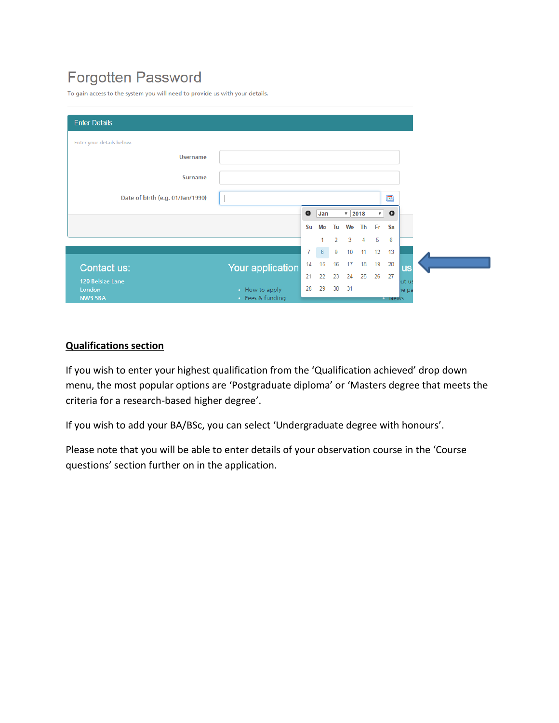## **Forgotten Password**

To gain access to the system you will need to provide us with your details.

| <b>Enter Details</b>             |                                |                |     |                |                     |                |              |                    |           |
|----------------------------------|--------------------------------|----------------|-----|----------------|---------------------|----------------|--------------|--------------------|-----------|
| Enter your details below.        |                                |                |     |                |                     |                |              |                    |           |
| <b>Username</b>                  |                                |                |     |                |                     |                |              |                    |           |
| <b>Surname</b>                   |                                |                |     |                |                     |                |              |                    |           |
| Date of birth (e.g. 01/Jan/1990) |                                |                |     |                |                     |                |              | $\blacksquare$     |           |
|                                  |                                | $\bullet$      | Jan |                | $\mathbf{v}$   2018 |                | $\mathbf{v}$ | $\bullet$          |           |
|                                  |                                | Su             | Mo  | Tu             | We                  | Th Fr          |              | Sa                 |           |
|                                  |                                |                | 1.  | $\overline{2}$ | 3                   | $\overline{4}$ | 5            | 6                  |           |
|                                  |                                | $\overline{7}$ | 8   | 9              | 10                  | 11             | 12           | 13                 |           |
| Contact us:                      | <b>Your application</b>        | 14             | 15  | 16             | 17                  | 18             | 19           | 20                 | <b>us</b> |
| 120 Belsize Lane                 |                                | 21             | 22  | 23             | 24                  | 25             | 26           | 27                 | ut us     |
| London<br><b>NW3 5BA</b>         | How to apply<br>Fees & funding | 28             | 29  | 30             | 31                  |                |              | <b>THE THE TWO</b> | he pa     |

#### **Qualifications section**

If you wish to enter your highest qualification from the 'Qualification achieved' drop down menu, the most popular options are 'Postgraduate diploma' or 'Masters degree that meets the criteria for a research-based higher degree'.

If you wish to add your BA/BSc, you can select 'Undergraduate degree with honours'.

Please note that you will be able to enter details of your observation course in the 'Course questions' section further on in the application.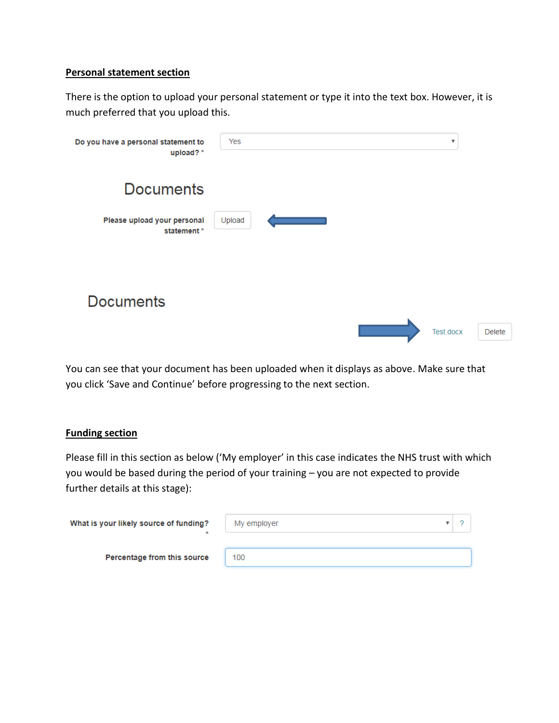#### **Personal statement section**

There is the option to upload your personal statement or type it into the text box. However, it is much preferred that you upload this.

| Do you have a personal statement to<br>upload?* | Yes    | $\boldsymbol{\mathrm{v}}$  |
|-------------------------------------------------|--------|----------------------------|
| <b>Documents</b>                                |        |                            |
| Please upload your personal<br>statement *      | Upload |                            |
| <b>Documents</b>                                |        |                            |
|                                                 |        | Test.docx<br><b>Delete</b> |

You can see that your document has been uploaded when it displays as above. Make sure that you click 'Save and Continue' before progressing to the next section.

#### **Funding section**

Please fill in this section as below ('My employer' in this case indicates the NHS trust with which you would be based during the period of your training – you are not expected to provide further details at this stage):

| What is your likely source of funding?<br>× | My employer |  |
|---------------------------------------------|-------------|--|
| Percentage from this source                 | 100         |  |